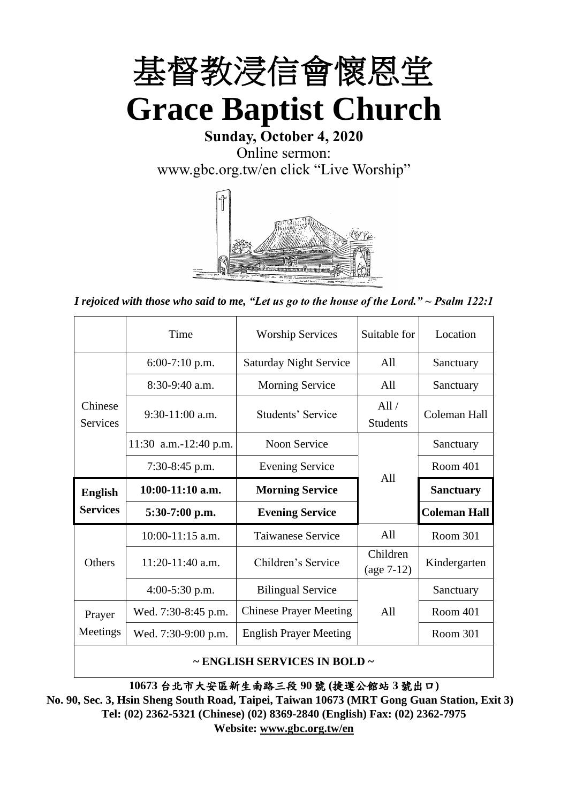

**Sunday, October 4, 2020** Online sermon: [www.gbc.org.tw/en](http://www.gbc.org.tw/en) click "Live Worship"



*I rejoiced with those who said to me, "Let us go to the house of the Lord." ~ Psalm 122:1*

|                            | Time                  | <b>Worship Services</b>       | Suitable for             | Location            |
|----------------------------|-----------------------|-------------------------------|--------------------------|---------------------|
|                            | $6:00-7:10$ p.m.      | <b>Saturday Night Service</b> | All                      | Sanctuary           |
|                            | $8:30-9:40$ a.m.      | <b>Morning Service</b>        | All                      | Sanctuary           |
| Chinese<br><b>Services</b> | $9:30-11:00$ a.m.     | Students' Service             | All/<br><b>Students</b>  | Coleman Hall        |
|                            | 11:30 a.m.-12:40 p.m. | Noon Service                  |                          | Sanctuary           |
|                            | $7:30-8:45$ p.m.      | <b>Evening Service</b>        | A11                      | Room 401            |
|                            |                       |                               |                          |                     |
| <b>English</b>             | $10:00-11:10$ a.m.    | <b>Morning Service</b>        |                          | <b>Sanctuary</b>    |
| <b>Services</b>            | $5:30-7:00$ p.m.      | <b>Evening Service</b>        |                          | <b>Coleman Hall</b> |
|                            | 10:00-11:15 a.m.      | <b>Taiwanese Service</b>      | All                      | Room 301            |
| <b>Others</b>              | $11:20-11:40$ a.m.    | Children's Service            | Children<br>$(age 7-12)$ | Kindergarten        |
|                            | $4:00-5:30$ p.m.      | <b>Bilingual Service</b>      |                          | Sanctuary           |
| Prayer                     | Wed. 7:30-8:45 p.m.   | <b>Chinese Prayer Meeting</b> | A11                      | Room 401            |
| Meetings                   | Wed. 7:30-9:00 p.m.   | <b>English Prayer Meeting</b> |                          | Room 301            |

#### **~ ENGLISH SERVICES IN BOLD ~**

**10673** 台北市大安區新生南路三段 **90** 號 **(**捷運公館站 **3** 號出口**)**

**No. 90, Sec. 3, Hsin Sheng South Road, Taipei, Taiwan 10673 (MRT Gong Guan Station, Exit 3) Tel: (02) 2362-5321 (Chinese) (02) 8369-2840 (English) Fax: (02) 2362-7975 Website: [www.gbc.org.tw/en](http://www.gbc.org.tw/en)**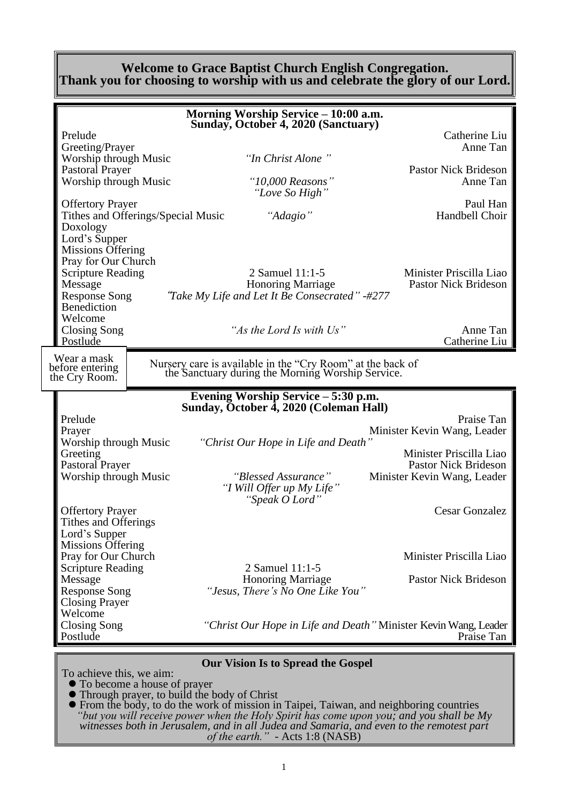#### **Welcome to Grace Baptist Church English Congregation. Thank you for choosing to worship with us and celebrate the glory of our Lord.**

|                                                                                                                                                                                     |                                    | Morning Worship Service - 10:00 a.m.<br>Sunday, October 4, 2020 (Sanctuary)                                               |                                                                                                    |
|-------------------------------------------------------------------------------------------------------------------------------------------------------------------------------------|------------------------------------|---------------------------------------------------------------------------------------------------------------------------|----------------------------------------------------------------------------------------------------|
| Prelude<br>Greeting/Prayer<br>Worship through Music<br>Pastoral Prayer<br>Worship through Music<br><b>Offertory Prayer</b><br>Doxology<br>Lord's Supper<br><b>Missions Offering</b> | Tithes and Offerings/Special Music | "In Christ Alone"<br>"10,000 Reasons"<br>"Love So High"<br>"Adagio"                                                       | Catherine Liu<br>Anne Tan<br><b>Pastor Nick Brideson</b><br>Anne Tan<br>Paul Han<br>Handbell Choir |
| Pray for Our Church<br><b>Scripture Reading</b><br>Message<br><b>Response Song</b><br><b>Benediction</b><br>Welcome<br><b>Closing Song</b>                                          |                                    | 2 Samuel 11:1-5<br><b>Honoring Marriage</b><br>"Take My Life and Let It Be Consecrated" -#277<br>"As the Lord Is with Us" | Minister Priscilla Liao<br><b>Pastor Nick Brideson</b><br>Anne Tan                                 |
| Postlude                                                                                                                                                                            |                                    |                                                                                                                           | Catherine Liu                                                                                      |
| Wear a mask<br>before entering<br>the Cry Room.                                                                                                                                     |                                    | Nursery care is available in the "Cry Room" at the back of<br>the Sanctuary during the Morning Worship Service.           |                                                                                                    |
|                                                                                                                                                                                     |                                    | Evening Worship Service – 5:30 p.m.<br>Sunday, October 4, 2020 (Coleman Hall)                                             |                                                                                                    |
| Prelude<br>Prayer                                                                                                                                                                   |                                    |                                                                                                                           | Praise Tan<br>Minister Kevin Wang, Leader                                                          |
| Worship through Music<br>Greeting<br>Pastoral Prayer                                                                                                                                |                                    | "Christ Our Hope in Life and Death"                                                                                       | Minister Priscilla Liao<br><b>Pastor Nick Brideson</b>                                             |
| Worship through Music                                                                                                                                                               |                                    | "Blessed Assurance"<br>"I Will Offer up My Life"<br>"Speak O Lord"                                                        | Minister Kevin Wang, Leader                                                                        |
| <b>Offertory Prayer</b><br>Tithes and Offerings<br>Lord's Supper<br><b>Missions Offering</b>                                                                                        |                                    |                                                                                                                           | <b>Cesar Gonzalez</b>                                                                              |
| Pray for Our Church                                                                                                                                                                 |                                    |                                                                                                                           | Minister Priscilla Liao                                                                            |
| <b>Scripture Reading</b><br>Message<br><b>Response Song</b><br><b>Closing Prayer</b><br>Welcome                                                                                     |                                    | 2 Samuel 11:1-5<br><b>Honoring Marriage</b><br>"Jesus, There's No One Like You"                                           | Pastor Nick Brideson                                                                               |
| <b>Closing Song</b>                                                                                                                                                                 |                                    |                                                                                                                           | "Christ Our Hope in Life and Death" Minister Kevin Wang, Leader                                    |

#### **Our Vision Is to Spread the Gospel**

To achieve this, we aim:

- ⚫ To become a house of prayer
- ⚫ Through prayer, to build the body of Christ
- ⚫ From the body, to do the work of mission in Taipei, Taiwan, and neighboring countries *"but you will receive power when the Holy Spirit has come upon you; and you shall be My witnesses both in Jerusalem, and in all Judea and Samaria, and even to the remotest part of the earth." -* Acts 1:8 (NASB)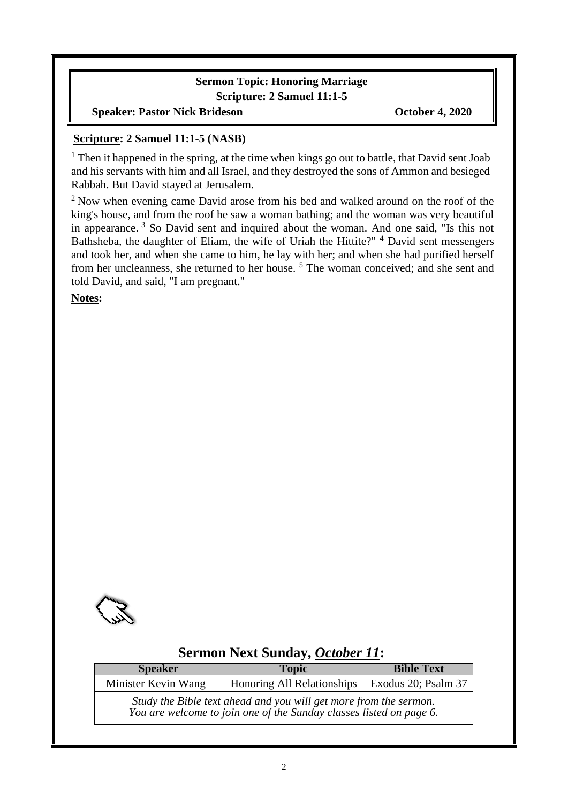### **Sermon Topic: Honoring Marriage Scripture: 2 Samuel 11:1-5**

**Speaker: Pastor Nick Brideson Corollary Corollary Corollary October 4, 2020** 

#### **Scripture: 2 Samuel 11:1-5 (NASB)**

<sup>1</sup> Then it happened in the spring, at the time when kings go out to battle, that David sent Joab and his servants with him and all Israel, and they destroyed the sons of Ammon and besieged Rabbah. But David stayed at Jerusalem.

<sup>2</sup> Now when evening came David arose from his bed and walked around on the roof of the king's house, and from the roof he saw a woman bathing; and the woman was very beautiful in appearance. <sup>3</sup> So David sent and inquired about the woman. And one said, "Is this not Bathsheba, the daughter of Eliam, the wife of Uriah the Hittite?"  $4$  David sent messengers and took her, and when she came to him, he lay with her; and when she had purified herself from her uncleanness, she returned to her house. <sup>5</sup> The woman conceived; and she sent and told David, and said, "I am pregnant."

**Notes:**



## **Sermon Next Sunday,** *October 11***:**

| <b>Speaker</b>      | <b>Topic</b>                                                                                                                             | <b>Bible Text</b> |  |  |
|---------------------|------------------------------------------------------------------------------------------------------------------------------------------|-------------------|--|--|
| Minister Kevin Wang | Honoring All Relationships   Exodus 20; Psalm 37                                                                                         |                   |  |  |
|                     | Study the Bible text ahead and you will get more from the sermon.<br>You are welcome to join one of the Sunday classes listed on page 6. |                   |  |  |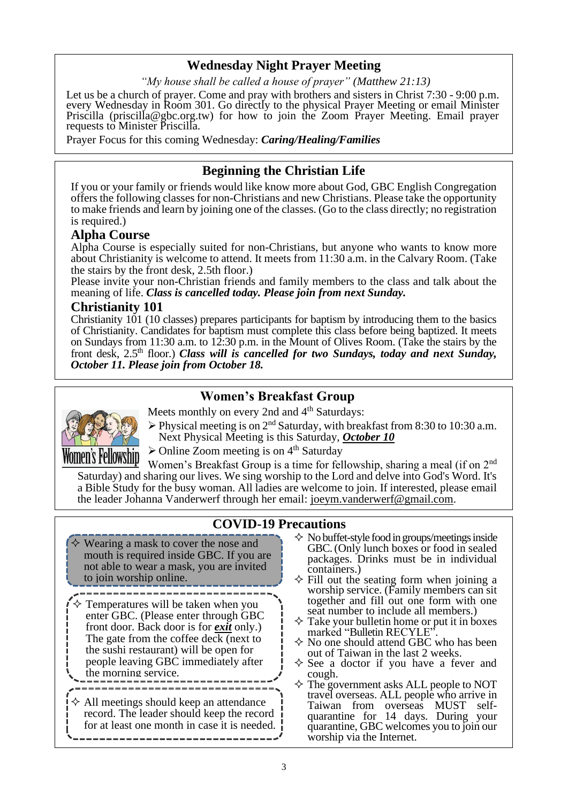### **Wednesday Night Prayer Meeting**

*"My house shall be called a house of prayer" (Matthew 21:13)*

Let us be a church of prayer. Come and pray with brothers and sisters in Christ 7:30 - 9:00 p.m. every Wednesday in Room 301. Go directly to the physical Prayer Meeting or email Minister Priscilla (priscilla@gbc.org.tw) for how to join the Zoom Prayer Meeting. Email prayer requests to Minister Priscilla.

Prayer Focus for this coming Wednesday: *Caring/Healing/Families*

### **Beginning the Christian Life**

If you or your family or friends would like know more about God, GBC English Congregation offers the following classes for non-Christians and new Christians. Please take the opportunity to make friends and learn by joining one of the classes. (Go to the class directly; no registration is required.)

#### **Alpha Course**

Alpha Course is especially suited for non-Christians, but anyone who wants to know more about Christianity is welcome to attend. It meets from 11:30 a.m. in the Calvary Room. (Take the stairs by the front desk, 2.5th floor.)

Please invite your non-Christian friends and family members to the class and talk about the meaning of life. *Class is cancelled today. Please join from next Sunday.*

#### **Christianity 101**

Christianity 101 (10 classes) prepares participants for baptism by introducing them to the basics of Christianity. Candidates for baptism must complete this class before being baptized. It meets on Sundays from 11:30 a.m. to 12:30 p.m. in the Mount of Olives Room. (Take the stairs by the front desk, 2.5<sup>th</sup> floor.) *Class will is cancelled for two Sundays, today and next Sunday, October 11. Please join from October 18.* 

### **Women's Breakfast Group**



Meets monthly on every 2nd and 4<sup>th</sup> Saturdays:

 $\triangleright$  Physical meeting is on 2<sup>nd</sup> Saturday, with breakfast from 8:30 to 10:30 a.m. Next Physical Meeting is this Saturday, *October 10*

 $\triangleright$  Online Zoom meeting is on 4<sup>th</sup> Saturday

Women's Breakfast Group is a time for fellowship, sharing a meal (if on 2<sup>nd</sup>) Saturday) and sharing our lives. We sing worship to the Lord and delve into God's Word. It's a Bible Study for the busy woman. All ladies are welcome to join. If interested, please email the leader Johanna Vanderwerf through her email: joeym.vanderwerf@gmail.com.

### **COVID-19 Precautions**

- $\diamond$  Wearing a mask to cover the nose and mouth is required inside GBC. If you are not able to wear a mask, you are invited to join worship online.
- $\diamond$  Temperatures will be taken when you enter GBC. (Please enter through GBC front door. Back door is for *exit* only.) The gate from the coffee deck (next to the sushi restaurant) will be open for people leaving GBC immediately after the morning service.
- $\Diamond$  All meetings should keep an attendance record. The leader should keep the record for at least one month in case it is needed.  $\mathbb{I}$

----------------------------

- $\Diamond$  No buffet-style food in groups/meetings inside GBC. (Only lunch boxes or food in sealed packages. Drinks must be in individual containers.)
- $\Diamond$  Fill out the seating form when joining a worship service. (Family members can sit together and fill out one form with one seat number to include all members.)
- $\Diamond$  Take your bulletin home or put it in boxes marked "Bulletin RECYLE".
- $\Diamond$  No one should attend GBC who has been out of Taiwan in the last 2 weeks.
- $\Diamond$  See a doctor if you have a fever and cough.
- The government asks ALL people to NOT travel overseas. ALL people who arrive in Taiwan from overseas MUST selfquarantine for 14 days. During your quarantine, GBC welcomes you to join our worship via the Internet.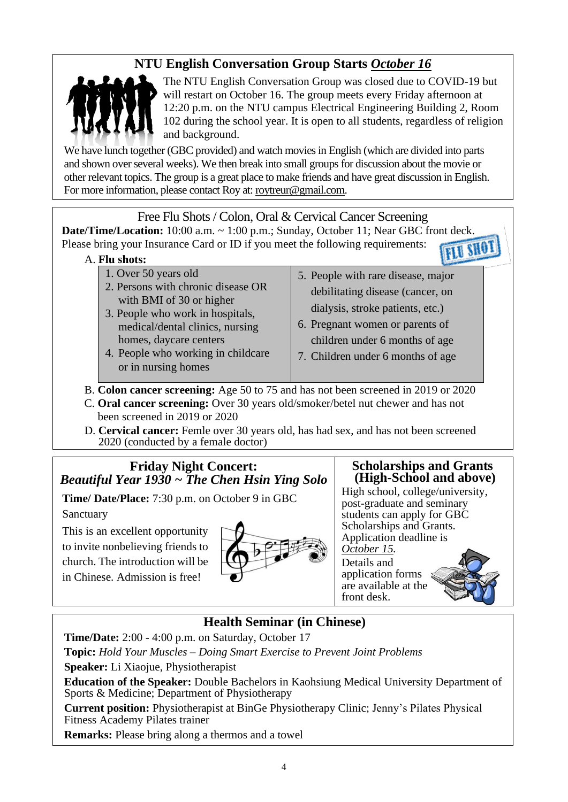# **NTU English Conversation Group Starts** *October 16*



The NTU English Conversation Group was closed due to COVID-19 but will restart on October 16. The group meets every Friday afternoon at 12:20 p.m. on the NTU campus Electrical Engineering Building 2, Room 102 during the school year. It is open to all students, regardless of religion and background.

We have lunch together (GBC provided) and watch movies in English (which are divided into parts and shown over several weeks). We then break into small groups for discussion about the movie or other relevant topics. The group is a great place to make friends and have great discussion in English. For more information, please contact Roy at: [roytreur@gmail.com.](mailto:roytreur@gmail.com)

Free Flu Shots / Colon, Oral & Cervical Cancer Screening **Date/Time/Location:** 10:00 a.m. ~ 1:00 p.m.; Sunday, October 11; Near GBC front deck. Please bring your Insurance Card or ID if you meet the following requirements: **FLU SHOT** 

### A. **Flu shots:**

- 1. Over 50 years old 2. Persons with chronic disease OR with BMI of 30 or higher
- 3. People who work in hospitals, medical/dental clinics, nursing homes, daycare centers
- 4. People who working in childcare or in nursing homes
- 5. People with rare disease, major debilitating disease (cancer, on dialysis, stroke patients, etc.)
- 6. Pregnant women or parents of children under 6 months of age
- 7. Children under 6 months of age

B. **Colon cancer screening:** Age 50 to 75 and has not been screened in 2019 or 2020

- C. **Oral cancer screening:** Over 30 years old/smoker/betel nut chewer and has not been screened in 2019 or 2020
- D. **Cervical cancer:** Femle over 30 years old, has had sex, and has not been screened 2020 (conducted by a female doctor)

### **Friday Night Concert:** *Beautiful Year 1930 ~ The Chen Hsin Ying Solo*

**Time/ Date/Place:** 7:30 p.m. on October 9 in GBC

Sanctuary

This is an excellent opportunity to invite nonbelieving friends to church. The introduction will be in Chinese. Admission is free!



### **Scholarships and Grants (High-School and above)**

High school, college/university, post-graduate and seminary students can apply for GBC Scholarships and Grants. Application deadline is *October 15.*

Details and application forms are available at the front desk.



## **Health Seminar (in Chinese)**

**Time/Date:** 2:00 - 4:00 p.m. on Saturday, October 17

**Topic:** *Hold Your Muscles – Doing Smart Exercise to Prevent Joint Problems* **Speaker:** Li Xiaojue, Physiotherapist

**Education of the Speaker:** Double Bachelors in Kaohsiung Medical University Department of Sports & Medicine; Department of Physiotherapy

**Current position:** Physiotherapist at BinGe Physiotherapy Clinic; Jenny's Pilates Physical Fitness Academy Pilates trainer

**Remarks:** Please bring along a thermos and a towel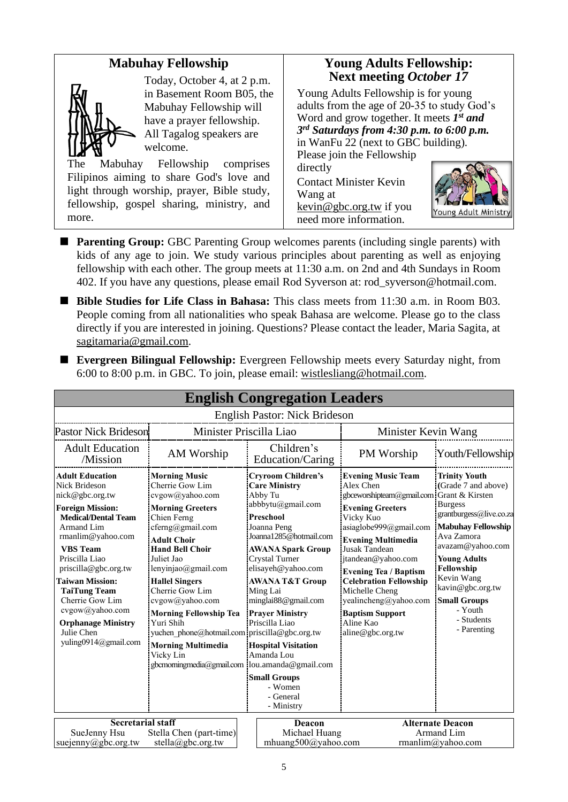### **Mabuhay Fellowship**



Today, October 4, at 2 p.m. in Basement Room B05, the Mabuhay Fellowship will have a prayer fellowship. All Tagalog speakers are welcome.

The Mabuhay Fellowship comprises Filipinos aiming to share God's love and light through worship, prayer, Bible study, fellowship, gospel sharing, ministry, and more.

### **Young Adults Fellowship: Next meeting** *October 17*

Young Adults Fellowship is for young adults from the age of 20-35 to study God's Word and grow together. It meets *1 st and 3 rd Saturdays from 4:30 p.m. to 6:00 p.m.* in WanFu 22 (next to GBC building).

Please join the Fellowship directly Contact Minister Kevin

Wang at kevin@gbc.org.tw if you need more information.



- **Parenting Group:** GBC Parenting Group welcomes parents (including single parents) with kids of any age to join. We study various principles about parenting as well as enjoying fellowship with each other. The group meets at 11:30 a.m. on 2nd and 4th Sundays in Room 402. If you have any questions, please email Rod Syverson at: rod\_syverson@hotmail.com.
- Bible Studies for Life Class in Bahasa: This class meets from 11:30 a.m. in Room B03. People coming from all nationalities who speak Bahasa are welcome. Please go to the class directly if you are interested in joining. Questions? Please contact the leader, Maria Sagita, at sagitamaria@gmail.com.

| <b>English Congregation Leaders</b>                                                                                                                                                                                                                                                                                                                                           |                                                                                                                                                                                                                                                                                                                                                                                                                                                                         |                                                                                                                                                                                                                                                                                                                                                                                                                                                 |                                                                                                                                                                                                                                                                                                                                                                                                  |                                                                                                                                                                                                                                                                                               |
|-------------------------------------------------------------------------------------------------------------------------------------------------------------------------------------------------------------------------------------------------------------------------------------------------------------------------------------------------------------------------------|-------------------------------------------------------------------------------------------------------------------------------------------------------------------------------------------------------------------------------------------------------------------------------------------------------------------------------------------------------------------------------------------------------------------------------------------------------------------------|-------------------------------------------------------------------------------------------------------------------------------------------------------------------------------------------------------------------------------------------------------------------------------------------------------------------------------------------------------------------------------------------------------------------------------------------------|--------------------------------------------------------------------------------------------------------------------------------------------------------------------------------------------------------------------------------------------------------------------------------------------------------------------------------------------------------------------------------------------------|-----------------------------------------------------------------------------------------------------------------------------------------------------------------------------------------------------------------------------------------------------------------------------------------------|
|                                                                                                                                                                                                                                                                                                                                                                               |                                                                                                                                                                                                                                                                                                                                                                                                                                                                         | English Pastor: Nick Brideson                                                                                                                                                                                                                                                                                                                                                                                                                   |                                                                                                                                                                                                                                                                                                                                                                                                  |                                                                                                                                                                                                                                                                                               |
| Minister Priscilla Liao<br><b>Pastor Nick Brideson</b>                                                                                                                                                                                                                                                                                                                        |                                                                                                                                                                                                                                                                                                                                                                                                                                                                         | Minister Kevin Wang                                                                                                                                                                                                                                                                                                                                                                                                                             |                                                                                                                                                                                                                                                                                                                                                                                                  |                                                                                                                                                                                                                                                                                               |
| <b>Adult Education</b><br>/Mission                                                                                                                                                                                                                                                                                                                                            | AM Worship                                                                                                                                                                                                                                                                                                                                                                                                                                                              | Children's<br>Education/Caring                                                                                                                                                                                                                                                                                                                                                                                                                  | PM Worship                                                                                                                                                                                                                                                                                                                                                                                       | Youth/Fellowship                                                                                                                                                                                                                                                                              |
| <b>Adult Education</b><br>Nick Brideson<br>nick@gbc.org.tw<br><b>Foreign Mission:</b><br><b>Medical/Dental Team</b><br>Armand Lim<br>rmanlim@yahoo.com<br><b>VBS</b> Team<br>Priscilla Liao<br>priscilla@gbc.org.tw<br><b>Taiwan Mission:</b><br><b>TaiTung Team</b><br>Cherrie Gow Lim<br>cvgow@yahoo.com<br><b>Orphanage Ministry</b><br>Julie Chen<br>yuling0914@gmail.com | <b>Morning Music</b><br>Cherrie Gow Lim<br>cvgow@yahoo.com<br><b>Morning Greeters</b><br>Chien Ferng<br>cferng@gmail.com<br><b>Adult Choir</b><br><b>Hand Bell Choir</b><br>Juliet Jao<br>lenyinjao@gmail.com<br><b>Hallel Singers</b><br>Cherrie Gow Lim<br>cvgow@yahoo.com<br><b>Morning Fellowship Tea</b><br>Yuri Shih<br>yuchen phone@hotmail.com priscilla@gbc.org.tw<br><b>Morning Multimedia</b><br>Vicky Lin<br>gbcmorningmedia@gmail.com lou.amanda@gmail.com | <b>Cryroom Children's</b><br><b>Care Ministry</b><br>Abby Tu<br>abbbytu@gmail.com<br><b>Preschool</b><br>Joanna Peng<br>Joanna1285@hotmail.com<br><b>AWANA Spark Group</b><br><b>Crystal Turner</b><br>elisayeh@yahoo.com<br><b>AWANA T&amp;T Group</b><br>Ming Lai<br>minglai88@gmail.com<br><b>Prayer Ministry</b><br>Priscilla Liao<br><b>Hospital Visitation</b><br>Amanda Lou<br><b>Small Groups</b><br>- Women<br>- General<br>- Ministry | <b>Evening Music Team</b><br>Alex Chen<br>gbceworshipteam@gmail.com Grant & Kirsten<br><b>Evening Greeters</b><br>Vicky Kuo<br>asiaglobe999@gmail.com<br><b>Evening Multimedia</b><br>Jusak Tandean<br>jtandean@yahoo.com<br><b>Evening Tea / Baptism</b><br><b>Celebration Fellowship</b><br>Michelle Cheng<br>yealincheng@yahoo.com<br><b>Baptism Support</b><br>Aline Kao<br>aline@gbc.org.tw | <b>Trinity Youth</b><br>(Grade 7 and above)<br><b>Burgess</b><br>grantburgess@live.co.za<br><b>Mabuhay Fellowship</b><br>Ava Zamora<br>avazam@yahoo.com<br><b>Young Adults</b><br>Fellowship<br>Kevin Wang<br>kavin@gbc.org.tw<br><b>Small Groups</b><br>- Youth<br>- Students<br>- Parenting |
| <b>Secretarial staff</b><br>SueJenny Hsu<br>suejenny@gbc.org.tw                                                                                                                                                                                                                                                                                                               | Stella Chen (part-time)<br>stella@gbc.org.tw                                                                                                                                                                                                                                                                                                                                                                                                                            | Deacon<br>Michael Huang<br>mhuang500@yahoo.com                                                                                                                                                                                                                                                                                                                                                                                                  |                                                                                                                                                                                                                                                                                                                                                                                                  | <b>Alternate Deacon</b><br>Armand Lim<br>rmanlim@yahoo.com                                                                                                                                                                                                                                    |

■ **Evergreen Bilingual Fellowship:** Evergreen Fellowship meets every Saturday night, from 6:00 to 8:00 p.m. in GBC. To join, please email: [wistlesliang@hotmail.com.](mailto:wistlesliang@hotmail.com)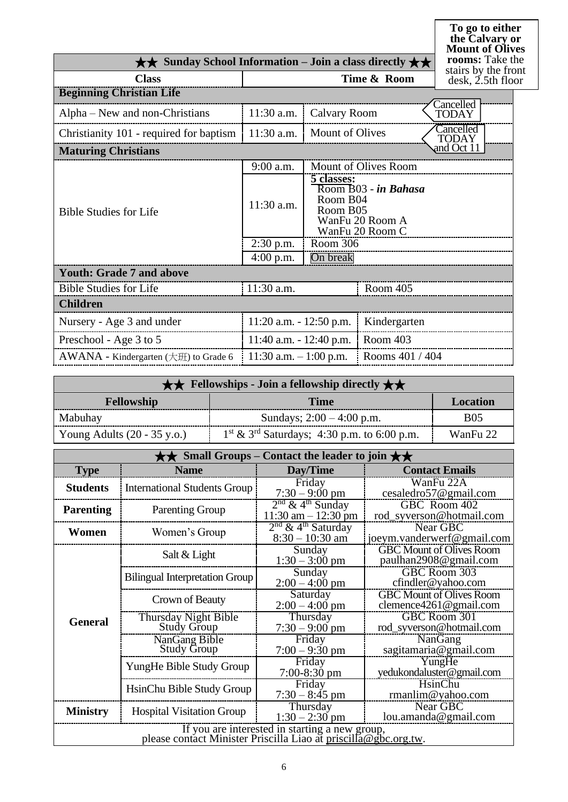**To go to either the Calvary or Mount of Olives rooms:** Take the he<br>ont  $\overline{\text{or}}$ 

| $\star\star$ Sunday School Information – Join a class directly $\star\star$ |                            |                                    |                                                            | $\mathbf{1}$<br>rooms: Take tl                        |
|-----------------------------------------------------------------------------|----------------------------|------------------------------------|------------------------------------------------------------|-------------------------------------------------------|
| <b>Class</b>                                                                |                            |                                    | Time & Room                                                | stairs by the fro<br>$\text{ desk}, \text{2.5th}$ flo |
| <b>Beginning Christian Life</b>                                             |                            |                                    |                                                            |                                                       |
| Alpha – New and non-Christians                                              | 11:30 a.m.                 | Calvary Room                       |                                                            | Cancelled<br>TODAY                                    |
| Christianity 101 - required for baptism                                     | $11:30$ a.m.               | <b>Mount of Olives</b>             |                                                            | Cancelled<br>TODAY                                    |
| <b>Maturing Christians</b>                                                  |                            |                                    |                                                            | and Oct 11                                            |
|                                                                             | 9:00 a.m.                  |                                    | Mount of Olives Room                                       |                                                       |
| <b>Bible Studies for Life</b>                                               | 11:30 a.m.                 | 5 classes:<br>Room B04<br>Room B05 | Room B03 - in Bahasa<br>WanFu 20 Room A<br>WanFu 20 Room C |                                                       |
|                                                                             | $2:30$ p.m.                | Room 306                           |                                                            |                                                       |
|                                                                             | $4:00$ p.m.                | On break                           |                                                            |                                                       |
| <b>Youth: Grade 7 and above</b>                                             |                            |                                    |                                                            |                                                       |
| <b>Bible Studies for Life</b>                                               | 11:30 a.m.                 |                                    | Room 405                                                   |                                                       |
| <b>Children</b>                                                             |                            |                                    |                                                            |                                                       |
| Nursery - Age 3 and under                                                   | $11:20$ a.m. $-12:50$ p.m. |                                    | Kindergarten                                               |                                                       |
| Preschool - Age 3 to 5                                                      | $11:40$ a.m. $-12:40$ p.m. |                                    | Room 403                                                   |                                                       |
| $AWANA$ - Kindergarten ( $\pm \text{ff}$ ) to Grade 6                       | 11:30 a.m. $-1:00$ p.m.    |                                    | Rooms 401 / 404                                            |                                                       |

| $\star \star$ Fellowships - Join a fellowship directly $\star \star$ |                                                |            |  |
|----------------------------------------------------------------------|------------------------------------------------|------------|--|
| <b>Fellowship</b><br><b>Location</b><br><b>Time</b>                  |                                                |            |  |
| Mabuhay                                                              | Sundays; $2:00 - 4:00$ p.m.                    | <b>B05</b> |  |
| Young Adults $(20 - 35 \text{ y.o.})$                                | $1st \& 3rd$ Saturdays; 4:30 p.m. to 6:00 p.m. | WanFu 22   |  |

| Small Groups – Contact the leader to join $\star\star$                                                            |                                       |                                                           |                                                               |  |
|-------------------------------------------------------------------------------------------------------------------|---------------------------------------|-----------------------------------------------------------|---------------------------------------------------------------|--|
| <b>Type</b>                                                                                                       | <b>Name</b>                           | Day/Time                                                  | <b>Contact Emails</b>                                         |  |
| <b>Students</b>                                                                                                   | <b>International Students Group</b>   | Friday<br>$7:30 - 9:00$ pm                                | WanFu 22A<br>cesaledro57@gmail.com                            |  |
| <b>Parenting</b>                                                                                                  | <b>Parenting Group</b>                | $2nd$ & 4 <sup>th</sup> Sunday<br>$11:30$ am $- 12:30$ pm | GBC Room 402<br>rod_syverson@hotmail.com                      |  |
| Women                                                                                                             | Women's Group                         | $2nd$ & 4 <sup>th</sup> Saturday<br>$8:30 - 10:30$ am     | Near GBC<br>joeym.vanderwerf@gmail.com                        |  |
|                                                                                                                   | Salt & Light                          | Sunday<br>$1:30 - 3:00$ pm                                | <b>GBC Mount of Olives Room</b><br>paulhan2908@gmail.com      |  |
|                                                                                                                   | <b>Bilingual Interpretation Group</b> | Sunday<br>$2:00 - 4:00$ pm                                | GBC Room 303<br>cfindler@yahoo.com                            |  |
|                                                                                                                   | Crown of Beauty                       | Saturday<br>$2:00 - 4:00$ pm                              | <b>GBC Mount of Olives Room</b><br>clemence $4261$ @gmail.com |  |
| <b>General</b>                                                                                                    | Thursday Night Bible<br>Study Group   | Thursday<br>$7:30 - 9:00$ pm                              | GBC Room 301<br>rod_syverson@hotmail.com                      |  |
|                                                                                                                   | NanGang Bible<br><b>Study Group</b>   | Friday<br>$7:00 - 9:30$ pm                                | NanGang<br>sagitamaria@gmail.com                              |  |
|                                                                                                                   | YungHe Bible Study Group              | Friday<br>$7:00-8:30$ pm                                  | YungHe<br>yedukondaluster@gmail.com                           |  |
|                                                                                                                   | HsinChu Bible Study Group             | Friday<br>$7:30 - 8:45$ pm                                | HsinChu<br>rmanlim@yahoo.com                                  |  |
| <b>Ministry</b>                                                                                                   | <b>Hospital Visitation Group</b>      | Thursday<br>$1:30 - 2:30$ pm                              | Near GBC<br>lou.amanda@gmail.com                              |  |
| If you are interested in starting a new group,<br>please contact Minister Priscilla Liao at priscilla@gbc.org.tw. |                                       |                                                           |                                                               |  |